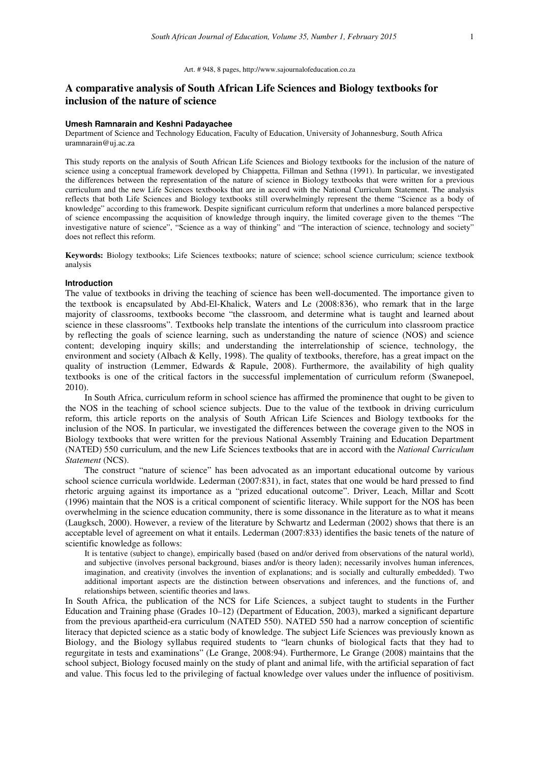#### Art. # 948, 8 pages, http://www.sajournalofeducation.co.za

# **A comparative analysis of South African Life Sciences and Biology textbooks for inclusion of the nature of science**

### **Umesh Ramnarain and Keshni Padayachee**

Department of Science and Technology Education, Faculty of Education, University of Johannesburg, South Africa uramnarain@uj.ac.za

This study reports on the analysis of South African Life Sciences and Biology textbooks for the inclusion of the nature of science using a conceptual framework developed by Chiappetta, Fillman and Sethna (1991). In particular, we investigated the differences between the representation of the nature of science in Biology textbooks that were written for a previous curriculum and the new Life Sciences textbooks that are in accord with the National Curriculum Statement. The analysis reflects that both Life Sciences and Biology textbooks still overwhelmingly represent the theme "Science as a body of knowledge" according to this framework. Despite significant curriculum reform that underlines a more balanced perspective of science encompassing the acquisition of knowledge through inquiry, the limited coverage given to the themes "The investigative nature of science", "Science as a way of thinking" and "The interaction of science, technology and society" does not reflect this reform.

**Keywords:** Biology textbooks; Life Sciences textbooks; nature of science; school science curriculum; science textbook analysis

#### **Introduction**

The value of textbooks in driving the teaching of science has been well-documented. The importance given to the textbook is encapsulated by Abd-El-Khalick, Waters and Le (2008:836), who remark that in the large majority of classrooms, textbooks become "the classroom, and determine what is taught and learned about science in these classrooms". Textbooks help translate the intentions of the curriculum into classroom practice by reflecting the goals of science learning, such as understanding the nature of science (NOS) and science content; developing inquiry skills; and understanding the interrelationship of science, technology, the environment and society (Albach & Kelly, 1998). The quality of textbooks, therefore, has a great impact on the quality of instruction (Lemmer, Edwards & Rapule, 2008). Furthermore, the availability of high quality textbooks is one of the critical factors in the successful implementation of curriculum reform (Swanepoel, 2010).

In South Africa, curriculum reform in school science has affirmed the prominence that ought to be given to the NOS in the teaching of school science subjects. Due to the value of the textbook in driving curriculum reform, this article reports on the analysis of South African Life Sciences and Biology textbooks for the inclusion of the NOS. In particular, we investigated the differences between the coverage given to the NOS in Biology textbooks that were written for the previous National Assembly Training and Education Department (NATED) 550 curriculum, and the new Life Sciences textbooks that are in accord with the *National Curriculum Statement* (NCS).

The construct "nature of science" has been advocated as an important educational outcome by various school science curricula worldwide. Lederman (2007:831), in fact, states that one would be hard pressed to find rhetoric arguing against its importance as a "prized educational outcome". Driver, Leach, Millar and Scott (1996) maintain that the NOS is a critical component of scientific literacy. While support for the NOS has been overwhelming in the science education community, there is some dissonance in the literature as to what it means (Laugksch, 2000). However, a review of the literature by Schwartz and Lederman (2002) shows that there is an acceptable level of agreement on what it entails. Lederman (2007:833) identifies the basic tenets of the nature of scientific knowledge as follows:

It is tentative (subject to change), empirically based (based on and/or derived from observations of the natural world), and subjective (involves personal background, biases and/or is theory laden); necessarily involves human inferences, imagination, and creativity (involves the invention of explanations; and is socially and culturally embedded). Two additional important aspects are the distinction between observations and inferences, and the functions of, and relationships between, scientific theories and laws.

In South Africa, the publication of the NCS for Life Sciences, a subject taught to students in the Further Education and Training phase (Grades 10–12) (Department of Education, 2003), marked a significant departure from the previous apartheid-era curriculum (NATED 550). NATED 550 had a narrow conception of scientific literacy that depicted science as a static body of knowledge. The subject Life Sciences was previously known as Biology, and the Biology syllabus required students to "learn chunks of biological facts that they had to regurgitate in tests and examinations" (Le Grange, 2008:94). Furthermore, Le Grange (2008) maintains that the school subject, Biology focused mainly on the study of plant and animal life, with the artificial separation of fact and value. This focus led to the privileging of factual knowledge over values under the influence of positivism.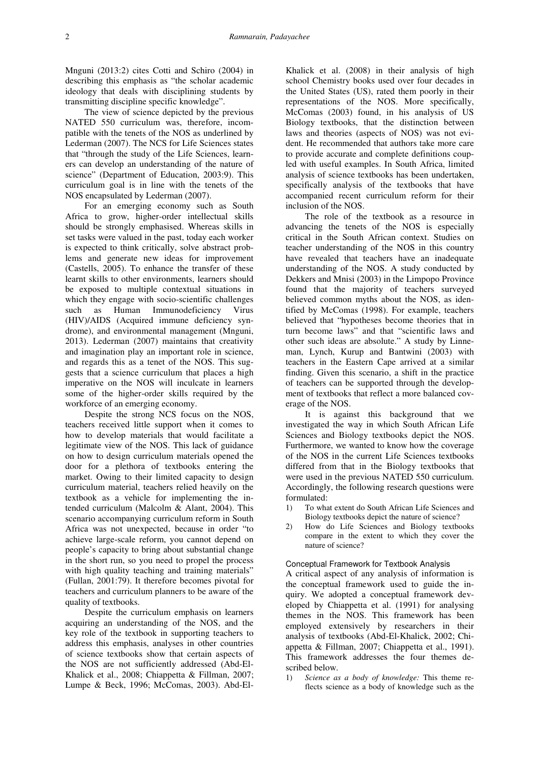Mnguni (2013:2) cites Cotti and Schiro (2004) in describing this emphasis as "the scholar academic ideology that deals with disciplining students by transmitting discipline specific knowledge".

The view of science depicted by the previous NATED 550 curriculum was, therefore, incompatible with the tenets of the NOS as underlined by Lederman (2007). The NCS for Life Sciences states that "through the study of the Life Sciences, learners can develop an understanding of the nature of science" (Department of Education, 2003:9). This curriculum goal is in line with the tenets of the NOS encapsulated by Lederman (2007).

For an emerging economy such as South Africa to grow, higher-order intellectual skills should be strongly emphasised. Whereas skills in set tasks were valued in the past, today each worker is expected to think critically, solve abstract problems and generate new ideas for improvement (Castells, 2005). To enhance the transfer of these learnt skills to other environments, learners should be exposed to multiple contextual situations in which they engage with socio-scientific challenges such as Human Immunodeficiency Virus (HIV)/AIDS (Acquired immune deficiency syndrome), and environmental management (Mnguni, 2013). Lederman (2007) maintains that creativity and imagination play an important role in science, and regards this as a tenet of the NOS. This suggests that a science curriculum that places a high imperative on the NOS will inculcate in learners some of the higher-order skills required by the workforce of an emerging economy.

Despite the strong NCS focus on the NOS, teachers received little support when it comes to how to develop materials that would facilitate a legitimate view of the NOS. This lack of guidance on how to design curriculum materials opened the door for a plethora of textbooks entering the market. Owing to their limited capacity to design curriculum material, teachers relied heavily on the textbook as a vehicle for implementing the intended curriculum (Malcolm & Alant, 2004). This scenario accompanying curriculum reform in South Africa was not unexpected, because in order "to achieve large-scale reform, you cannot depend on people's capacity to bring about substantial change in the short run, so you need to propel the process with high quality teaching and training materials" (Fullan, 2001:79). It therefore becomes pivotal for teachers and curriculum planners to be aware of the quality of textbooks.

Despite the curriculum emphasis on learners acquiring an understanding of the NOS, and the key role of the textbook in supporting teachers to address this emphasis, analyses in other countries of science textbooks show that certain aspects of the NOS are not sufficiently addressed (Abd-El-Khalick et al., 2008; Chiappetta & Fillman, 2007; Lumpe & Beck, 1996; McComas, 2003). Abd-ElKhalick et al. (2008) in their analysis of high school Chemistry books used over four decades in the United States (US), rated them poorly in their representations of the NOS. More specifically, McComas (2003) found, in his analysis of US Biology textbooks, that the distinction between laws and theories (aspects of NOS) was not evident. He recommended that authors take more care to provide accurate and complete definitions coupled with useful examples. In South Africa, limited analysis of science textbooks has been undertaken, specifically analysis of the textbooks that have accompanied recent curriculum reform for their inclusion of the NOS.

The role of the textbook as a resource in advancing the tenets of the NOS is especially critical in the South African context. Studies on teacher understanding of the NOS in this country have revealed that teachers have an inadequate understanding of the NOS. A study conducted by Dekkers and Mnisi (2003) in the Limpopo Province found that the majority of teachers surveyed believed common myths about the NOS, as identified by McComas (1998). For example, teachers believed that "hypotheses become theories that in turn become laws" and that "scientific laws and other such ideas are absolute." A study by Linneman, Lynch, Kurup and Bantwini (2003) with teachers in the Eastern Cape arrived at a similar finding. Given this scenario, a shift in the practice of teachers can be supported through the development of textbooks that reflect a more balanced coverage of the NOS.

It is against this background that we investigated the way in which South African Life Sciences and Biology textbooks depict the NOS. Furthermore, we wanted to know how the coverage of the NOS in the current Life Sciences textbooks differed from that in the Biology textbooks that were used in the previous NATED 550 curriculum. Accordingly, the following research questions were formulated:

- 1) To what extent do South African Life Sciences and Biology textbooks depict the nature of science?
- 2) How do Life Sciences and Biology textbooks compare in the extent to which they cover the nature of science?

### Conceptual Framework for Textbook Analysis

A critical aspect of any analysis of information is the conceptual framework used to guide the inquiry. We adopted a conceptual framework developed by Chiappetta et al. (1991) for analysing themes in the NOS. This framework has been employed extensively by researchers in their analysis of textbooks (Abd-El-Khalick, 2002; Chiappetta & Fillman, 2007; Chiappetta et al., 1991). This framework addresses the four themes described below.

1) *Science as a body of knowledge:* This theme reflects science as a body of knowledge such as the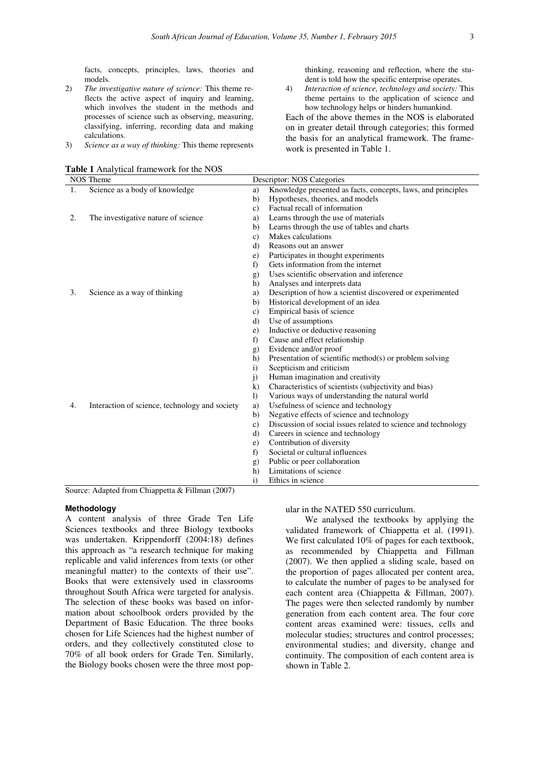facts, concepts, principles, laws, theories and models.

- 2) *The investigative nature of science:* This theme reflects the active aspect of inquiry and learning, which involves the student in the methods and processes of science such as observing, measuring, classifying, inferring, recording data and making calculations.
- 3) *Science as a way of thinking:* This theme represents

| Table 1 Analytical framework for the NOS |  |  |  |
|------------------------------------------|--|--|--|
|------------------------------------------|--|--|--|

thinking, reasoning and reflection, where the student is told how the specific enterprise operates.

4) *Interaction of science, technology and society:* This theme pertains to the application of science and how technology helps or hinders humankind.

Each of the above themes in the NOS is elaborated on in greater detail through categories; this formed the basis for an analytical framework. The framework is presented in Table 1.

| <b>NOS</b> Theme |                                                |                  | Descriptor: NOS Categories                                    |  |  |  |
|------------------|------------------------------------------------|------------------|---------------------------------------------------------------|--|--|--|
| $\mathbf{1}$ .   | Science as a body of knowledge                 | a)               | Knowledge presented as facts, concepts, laws, and principles  |  |  |  |
|                  |                                                | b)               | Hypotheses, theories, and models                              |  |  |  |
|                  |                                                | $\mathbf{c}$ )   | Factual recall of information                                 |  |  |  |
| 2.               | The investigative nature of science            | a)               | Learns through the use of materials                           |  |  |  |
|                  |                                                | b)               | Learns through the use of tables and charts                   |  |  |  |
|                  |                                                | c)               | Makes calculations                                            |  |  |  |
|                  |                                                | d)               | Reasons out an answer                                         |  |  |  |
|                  |                                                | e)               | Participates in thought experiments                           |  |  |  |
|                  |                                                | f)               | Gets information from the internet                            |  |  |  |
|                  |                                                | $\mathbf{g}$     | Uses scientific observation and inference                     |  |  |  |
|                  |                                                | h)               | Analyses and interprets data                                  |  |  |  |
| 3.               | Science as a way of thinking                   | a)               | Description of how a scientist discovered or experimented     |  |  |  |
|                  |                                                | b)               | Historical development of an idea                             |  |  |  |
|                  |                                                | c)               | Empirical basis of science                                    |  |  |  |
|                  |                                                | d)               | Use of assumptions                                            |  |  |  |
|                  |                                                | e)               | Inductive or deductive reasoning                              |  |  |  |
|                  |                                                | f)               | Cause and effect relationship                                 |  |  |  |
|                  |                                                | g)               | Evidence and/or proof                                         |  |  |  |
|                  |                                                | h)               | Presentation of scientific method(s) or problem solving       |  |  |  |
|                  |                                                | $\mathbf{i}$     | Scepticism and criticism                                      |  |  |  |
|                  |                                                | $\overline{1}$   | Human imagination and creativity                              |  |  |  |
|                  |                                                | $\bf k$          | Characteristics of scientists (subjectivity and bias)         |  |  |  |
|                  |                                                | $\left  \right $ | Various ways of understanding the natural world               |  |  |  |
| 4.               | Interaction of science, technology and society | a)               | Usefulness of science and technology                          |  |  |  |
|                  |                                                | b)               | Negative effects of science and technology                    |  |  |  |
|                  |                                                | c)               | Discussion of social issues related to science and technology |  |  |  |
|                  |                                                | $\mathbf{d}$     | Careers in science and technology                             |  |  |  |
|                  |                                                | e)               | Contribution of diversity                                     |  |  |  |
|                  |                                                | f)               | Societal or cultural influences                               |  |  |  |
|                  |                                                | $\mathbf{g}$     | Public or peer collaboration                                  |  |  |  |
|                  |                                                | h)               | Limitations of science                                        |  |  |  |
|                  |                                                | $\mathbf{i}$     | Ethics in science                                             |  |  |  |

Source: Adapted from Chiappetta & Fillman (2007)

#### **Methodology**

A content analysis of three Grade Ten Life Sciences textbooks and three Biology textbooks was undertaken. Krippendorff (2004:18) defines this approach as "a research technique for making replicable and valid inferences from texts (or other meaningful matter) to the contexts of their use". Books that were extensively used in classrooms throughout South Africa were targeted for analysis. The selection of these books was based on information about schoolbook orders provided by the Department of Basic Education. The three books chosen for Life Sciences had the highest number of orders, and they collectively constituted close to 70% of all book orders for Grade Ten. Similarly, the Biology books chosen were the three most popular in the NATED 550 curriculum.

We analysed the textbooks by applying the validated framework of Chiappetta et al. (1991). We first calculated 10% of pages for each textbook, as recommended by Chiappetta and Fillman (2007). We then applied a sliding scale, based on the proportion of pages allocated per content area, to calculate the number of pages to be analysed for each content area (Chiappetta & Fillman, 2007). The pages were then selected randomly by number generation from each content area. The four core content areas examined were: tissues, cells and molecular studies; structures and control processes; environmental studies; and diversity, change and continuity. The composition of each content area is shown in Table 2.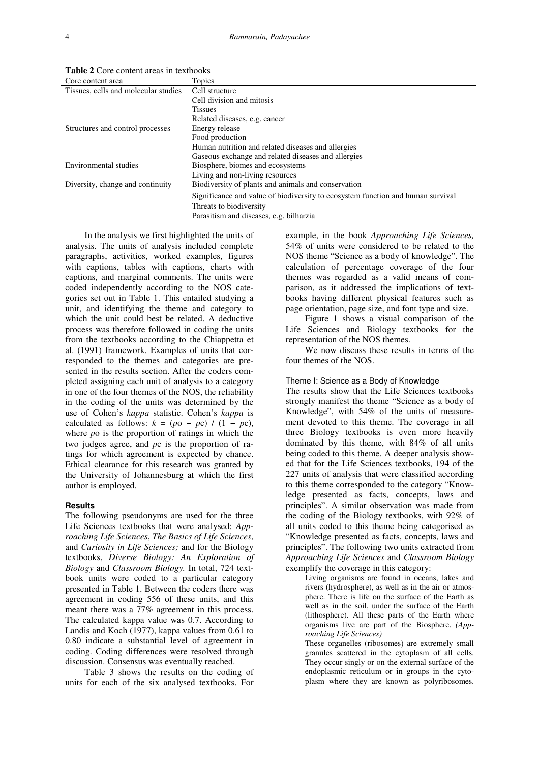| Core content area                    | Topics                                                                          |  |  |  |  |
|--------------------------------------|---------------------------------------------------------------------------------|--|--|--|--|
| Tissues, cells and molecular studies | Cell structure                                                                  |  |  |  |  |
|                                      | Cell division and mitosis                                                       |  |  |  |  |
|                                      | <b>Tissues</b>                                                                  |  |  |  |  |
|                                      | Related diseases, e.g. cancer                                                   |  |  |  |  |
| Structures and control processes     | Energy release                                                                  |  |  |  |  |
|                                      | Food production                                                                 |  |  |  |  |
|                                      | Human nutrition and related diseases and allergies                              |  |  |  |  |
|                                      | Gaseous exchange and related diseases and allergies                             |  |  |  |  |
| Environmental studies                | Biosphere, biomes and ecosystems                                                |  |  |  |  |
|                                      | Living and non-living resources                                                 |  |  |  |  |
| Diversity, change and continuity     | Biodiversity of plants and animals and conservation                             |  |  |  |  |
|                                      | Significance and value of biodiversity to ecosystem function and human survival |  |  |  |  |
|                                      | Threats to biodiversity                                                         |  |  |  |  |
|                                      | Parasitism and diseases, e.g. bilharzia                                         |  |  |  |  |

**Table 2** Core content areas in textbooks

In the analysis we first highlighted the units of analysis. The units of analysis included complete paragraphs, activities, worked examples, figures with captions, tables with captions, charts with captions, and marginal comments. The units were coded independently according to the NOS categories set out in Table 1. This entailed studying a unit, and identifying the theme and category to which the unit could best be related. A deductive process was therefore followed in coding the units from the textbooks according to the Chiappetta et al. (1991) framework. Examples of units that corresponded to the themes and categories are presented in the results section. After the coders completed assigning each unit of analysis to a category in one of the four themes of the NOS, the reliability in the coding of the units was determined by the use of Cohen's *kappa* statistic. Cohen's *kappa* is calculated as follows:  $k = (p_0 - pc) / (1 - pc)$ , where *p*o is the proportion of ratings in which the two judges agree, and *p*c is the proportion of ratings for which agreement is expected by chance. Ethical clearance for this research was granted by the University of Johannesburg at which the first author is employed.

## **Results**

The following pseudonyms are used for the three Life Sciences textbooks that were analysed: *Approaching Life Sciences*, *The Basics of Life Sciences*, and *Curiosity in Life Sciences;* and for the Biology textbooks, *Diverse Biology: An Exploration of Biology* and *Classroom Biology.* In total, 724 textbook units were coded to a particular category presented in Table 1. Between the coders there was agreement in coding 556 of these units, and this meant there was a 77% agreement in this process. The calculated kappa value was 0.7. According to Landis and Koch (1977), kappa values from 0.61 to 0.80 indicate a substantial level of agreement in coding. Coding differences were resolved through discussion. Consensus was eventually reached.

Table 3 shows the results on the coding of units for each of the six analysed textbooks. For

example, in the book *Approaching Life Sciences,* 54% of units were considered to be related to the NOS theme "Science as a body of knowledge". The calculation of percentage coverage of the four themes was regarded as a valid means of comparison, as it addressed the implications of textbooks having different physical features such as page orientation, page size, and font type and size.

Figure 1 shows a visual comparison of the Life Sciences and Biology textbooks for the representation of the NOS themes.

We now discuss these results in terms of the four themes of the NOS.

#### Theme I: Science as a Body of Knowledge

The results show that the Life Sciences textbooks strongly manifest the theme "Science as a body of Knowledge", with 54% of the units of measurement devoted to this theme. The coverage in all three Biology textbooks is even more heavily dominated by this theme, with 84% of all units being coded to this theme. A deeper analysis showed that for the Life Sciences textbooks, 194 of the 227 units of analysis that were classified according to this theme corresponded to the category "Knowledge presented as facts, concepts, laws and principles". A similar observation was made from the coding of the Biology textbooks, with 92% of all units coded to this theme being categorised as "Knowledge presented as facts, concepts, laws and principles". The following two units extracted from *Approaching Life Sciences* and *Classroom Biology* exemplify the coverage in this category:

> Living organisms are found in oceans, lakes and rivers (hydrosphere), as well as in the air or atmosphere. There is life on the surface of the Earth as well as in the soil, under the surface of the Earth (lithosphere). All these parts of the Earth where organisms live are part of the Biosphere. *(Approaching Life Sciences)*

> These organelles (ribosomes) are extremely small granules scattered in the cytoplasm of all cells. They occur singly or on the external surface of the endoplasmic reticulum or in groups in the cytoplasm where they are known as polyribosomes.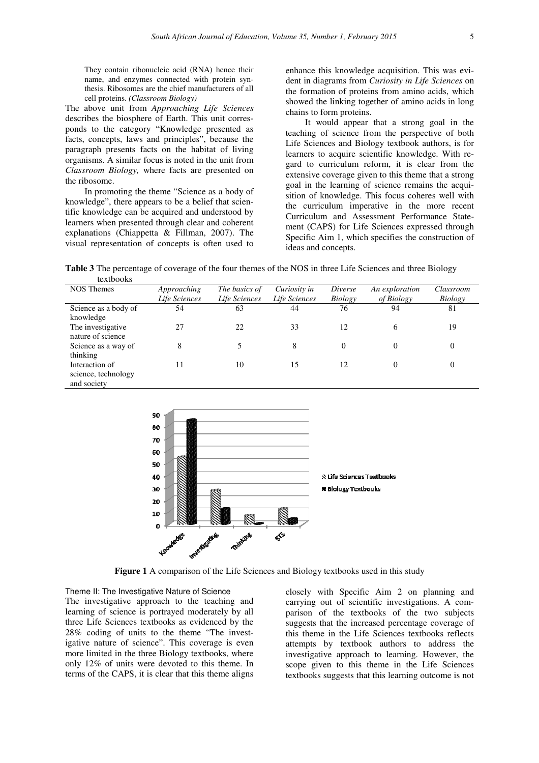They contain ribonucleic acid (RNA) hence their name, and enzymes connected with protein synthesis. Ribosomes are the chief manufacturers of all cell proteins. *(Classroom Biology)*

The above unit from *Approaching Life Sciences* describes the biosphere of Earth. This unit corresponds to the category "Knowledge presented as facts, concepts, laws and principles", because the paragraph presents facts on the habitat of living organisms. A similar focus is noted in the unit from *Classroom Biology,* where facts are presented on the ribosome.

In promoting the theme "Science as a body of knowledge", there appears to be a belief that scientific knowledge can be acquired and understood by learners when presented through clear and coherent explanations (Chiappetta & Fillman, 2007). The visual representation of concepts is often used to

enhance this knowledge acquisition. This was evident in diagrams from *Curiosity in Life Sciences* on the formation of proteins from amino acids, which showed the linking together of amino acids in long chains to form proteins.

It would appear that a strong goal in the teaching of science from the perspective of both Life Sciences and Biology textbook authors, is for learners to acquire scientific knowledge. With regard to curriculum reform, it is clear from the extensive coverage given to this theme that a strong goal in the learning of science remains the acquisition of knowledge. This focus coheres well with the curriculum imperative in the more recent Curriculum and Assessment Performance Statement (CAPS) for Life Sciences expressed through Specific Aim 1, which specifies the construction of ideas and concepts.

**Table 3** The percentage of coverage of the four themes of the NOS in three Life Sciences and three Biology textbooks

| wawvons              |               |               |               |          |                |           |
|----------------------|---------------|---------------|---------------|----------|----------------|-----------|
| <b>NOS</b> Themes    | Approaching   | The basics of | Curiosity in  | Diverse  | An exploration | Classroom |
|                      | Life Sciences | Life Sciences | Life Sciences | Biology  | of Biology     | Biology   |
| Science as a body of | 54            | 63            | 44            | 76       | 94             | 81        |
| knowledge            |               |               |               |          |                |           |
| The investigative    | 27            | 22            | 33            | 12       | 6              | 19        |
| nature of science    |               |               |               |          |                |           |
| Science as a way of  | 8             |               | 8             | $\theta$ | 0              | 0         |
| thinking             |               |               |               |          |                |           |
| Interaction of       | 11            | 10            | 15            | 12       | 0              | 0         |
| science, technology  |               |               |               |          |                |           |
| and society          |               |               |               |          |                |           |



**Figure 1** A comparison of the Life Sciences and Biology textbooks used in this study

Theme II: The Investigative Nature of Science The investigative approach to the teaching and learning of science is portrayed moderately by all three Life Sciences textbooks as evidenced by the 28% coding of units to the theme "The investigative nature of science". This coverage is even more limited in the three Biology textbooks, where only 12% of units were devoted to this theme. In terms of the CAPS, it is clear that this theme aligns

closely with Specific Aim 2 on planning and carrying out of scientific investigations. A comparison of the textbooks of the two subjects suggests that the increased percentage coverage of this theme in the Life Sciences textbooks reflects attempts by textbook authors to address the investigative approach to learning. However, the scope given to this theme in the Life Sciences textbooks suggests that this learning outcome is not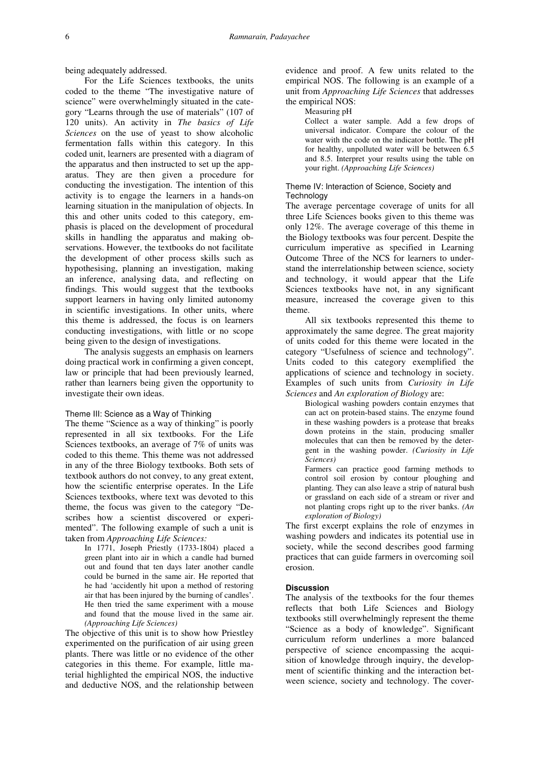being adequately addressed.

For the Life Sciences textbooks, the units coded to the theme "The investigative nature of science" were overwhelmingly situated in the category "Learns through the use of materials" (107 of 120 units). An activity in *The basics of Life Sciences* on the use of yeast to show alcoholic fermentation falls within this category. In this coded unit, learners are presented with a diagram of the apparatus and then instructed to set up the apparatus. They are then given a procedure for conducting the investigation. The intention of this activity is to engage the learners in a hands-on learning situation in the manipulation of objects. In this and other units coded to this category, emphasis is placed on the development of procedural skills in handling the apparatus and making observations. However, the textbooks do not facilitate the development of other process skills such as hypothesising, planning an investigation, making an inference, analysing data, and reflecting on findings. This would suggest that the textbooks support learners in having only limited autonomy in scientific investigations. In other units, where this theme is addressed, the focus is on learners conducting investigations, with little or no scope being given to the design of investigations.

The analysis suggests an emphasis on learners doing practical work in confirming a given concept, law or principle that had been previously learned, rather than learners being given the opportunity to investigate their own ideas.

## Theme III: Science as a Way of Thinking

The theme "Science as a way of thinking" is poorly represented in all six textbooks. For the Life Sciences textbooks, an average of 7% of units was coded to this theme. This theme was not addressed in any of the three Biology textbooks. Both sets of textbook authors do not convey, to any great extent, how the scientific enterprise operates. In the Life Sciences textbooks, where text was devoted to this theme, the focus was given to the category "Describes how a scientist discovered or experimented". The following example of such a unit is taken from *Approaching Life Sciences:* 

> In 1771, Joseph Priestly (1733-1804) placed a green plant into air in which a candle had burned out and found that ten days later another candle could be burned in the same air. He reported that he had 'accidently hit upon a method of restoring air that has been injured by the burning of candles'. He then tried the same experiment with a mouse and found that the mouse lived in the same air. *(Approaching Life Sciences)*

The objective of this unit is to show how Priestley experimented on the purification of air using green plants. There was little or no evidence of the other categories in this theme. For example, little material highlighted the empirical NOS, the inductive and deductive NOS, and the relationship between evidence and proof. A few units related to the empirical NOS. The following is an example of a unit from *Approaching Life Sciences* that addresses the empirical NOS:

Measuring pH

Collect a water sample. Add a few drops of universal indicator. Compare the colour of the water with the code on the indicator bottle. The pH for healthy, unpolluted water will be between 6.5 and 8.5. Interpret your results using the table on your right. *(Approaching Life Sciences)* 

# Theme IV: Interaction of Science, Society and **Technology**

The average percentage coverage of units for all three Life Sciences books given to this theme was only 12%. The average coverage of this theme in the Biology textbooks was four percent. Despite the curriculum imperative as specified in Learning Outcome Three of the NCS for learners to understand the interrelationship between science, society and technology, it would appear that the Life Sciences textbooks have not, in any significant measure, increased the coverage given to this theme.

All six textbooks represented this theme to approximately the same degree. The great majority of units coded for this theme were located in the category "Usefulness of science and technology". Units coded to this category exemplified the applications of science and technology in society. Examples of such units from *Curiosity in Life Sciences* and *An exploration of Biology* are:

Biological washing powders contain enzymes that can act on protein-based stains. The enzyme found in these washing powders is a protease that breaks down proteins in the stain, producing smaller molecules that can then be removed by the detergent in the washing powder. *(Curiosity in Life Sciences)* 

Farmers can practice good farming methods to control soil erosion by contour ploughing and planting. They can also leave a strip of natural bush or grassland on each side of a stream or river and not planting crops right up to the river banks. *(An exploration of Biology)* 

The first excerpt explains the role of enzymes in washing powders and indicates its potential use in society, while the second describes good farming practices that can guide farmers in overcoming soil erosion.

# **Discussion**

The analysis of the textbooks for the four themes reflects that both Life Sciences and Biology textbooks still overwhelmingly represent the theme "Science as a body of knowledge". Significant curriculum reform underlines a more balanced perspective of science encompassing the acquisition of knowledge through inquiry, the development of scientific thinking and the interaction between science, society and technology. The cover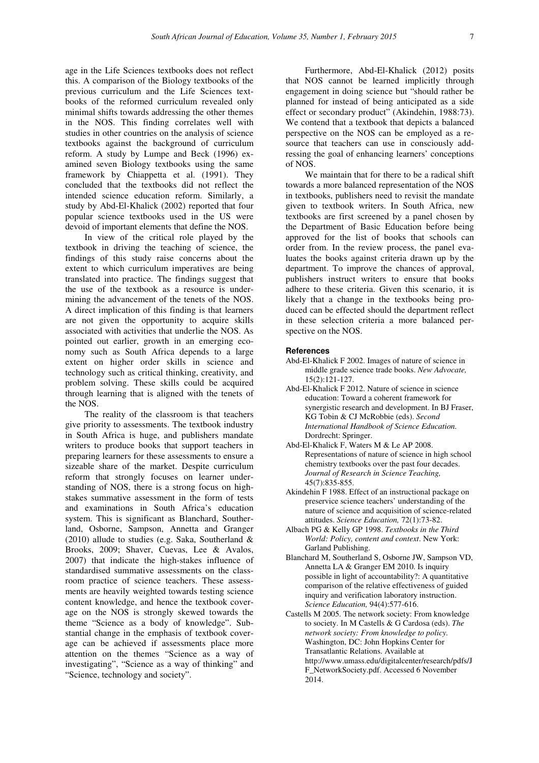age in the Life Sciences textbooks does not reflect this. A comparison of the Biology textbooks of the previous curriculum and the Life Sciences textbooks of the reformed curriculum revealed only minimal shifts towards addressing the other themes in the NOS. This finding correlates well with studies in other countries on the analysis of science textbooks against the background of curriculum reform. A study by Lumpe and Beck (1996) examined seven Biology textbooks using the same framework by Chiappetta et al. (1991). They concluded that the textbooks did not reflect the intended science education reform. Similarly, a study by Abd-El-Khalick (2002) reported that four popular science textbooks used in the US were devoid of important elements that define the NOS.

In view of the critical role played by the textbook in driving the teaching of science, the findings of this study raise concerns about the extent to which curriculum imperatives are being translated into practice. The findings suggest that the use of the textbook as a resource is undermining the advancement of the tenets of the NOS. A direct implication of this finding is that learners are not given the opportunity to acquire skills associated with activities that underlie the NOS. As pointed out earlier, growth in an emerging economy such as South Africa depends to a large extent on higher order skills in science and technology such as critical thinking, creativity, and problem solving. These skills could be acquired through learning that is aligned with the tenets of the NOS.

The reality of the classroom is that teachers give priority to assessments. The textbook industry in South Africa is huge, and publishers mandate writers to produce books that support teachers in preparing learners for these assessments to ensure a sizeable share of the market. Despite curriculum reform that strongly focuses on learner understanding of NOS, there is a strong focus on highstakes summative assessment in the form of tests and examinations in South Africa's education system. This is significant as Blanchard, Southerland, Osborne, Sampson, Annetta and Granger (2010) allude to studies (e.g. Saka, Southerland & Brooks, 2009; Shaver, Cuevas, Lee & Avalos, 2007) that indicate the high-stakes influence of standardised summative assessments on the classroom practice of science teachers. These assessments are heavily weighted towards testing science content knowledge, and hence the textbook coverage on the NOS is strongly skewed towards the theme "Science as a body of knowledge". Substantial change in the emphasis of textbook coverage can be achieved if assessments place more attention on the themes "Science as a way of investigating", "Science as a way of thinking" and "Science, technology and society".

Furthermore, Abd-El-Khalick (2012) posits that NOS cannot be learned implicitly through engagement in doing science but "should rather be planned for instead of being anticipated as a side effect or secondary product" (Akindehin, 1988:73). We contend that a textbook that depicts a balanced perspective on the NOS can be employed as a resource that teachers can use in consciously addressing the goal of enhancing learners' conceptions of NOS.

We maintain that for there to be a radical shift towards a more balanced representation of the NOS in textbooks, publishers need to revisit the mandate given to textbook writers. In South Africa, new textbooks are first screened by a panel chosen by the Department of Basic Education before being approved for the list of books that schools can order from. In the review process, the panel evaluates the books against criteria drawn up by the department. To improve the chances of approval, publishers instruct writers to ensure that books adhere to these criteria. Given this scenario, it is likely that a change in the textbooks being produced can be effected should the department reflect in these selection criteria a more balanced perspective on the NOS.

# **References**

- Abd-El-Khalick F 2002. Images of nature of science in middle grade science trade books. *New Advocate,*  15(2):121-127.
- Abd-El-Khalick F 2012. Nature of science in science education: Toward a coherent framework for synergistic research and development. In BJ Fraser, KG Tobin & CJ McRobbie (eds). *Second International Handbook of Science Education.* Dordrecht: Springer.
- Abd-El-Khalick F, Waters M & Le AP 2008. Representations of nature of science in high school chemistry textbooks over the past four decades. *Journal of Research in Science Teaching,*  45(7):835-855.
- Akindehin F 1988. Effect of an instructional package on preservice science teachers' understanding of the nature of science and acquisition of science-related attitudes. *Science Education,* 72(1):73-82.
- Albach PG & Kelly GP 1998. *Textbooks in the Third World: Policy, content and context*. New York: Garland Publishing.
- Blanchard M, Southerland S, Osborne JW, Sampson VD, Annetta LA & Granger EM 2010. Is inquiry possible in light of accountability?: A quantitative comparison of the relative effectiveness of guided inquiry and verification laboratory instruction. *Science Education,* 94(4):577-616.
- Castells M 2005. The network society: From knowledge to society. In M Castells & G Cardosa (eds). *The network society: From knowledge to policy.* Washington, DC: John Hopkins Center for Transatlantic Relations. Available at http://www.umass.edu/digitalcenter/research/pdfs/J F\_NetworkSociety.pdf. Accessed 6 November 2014.